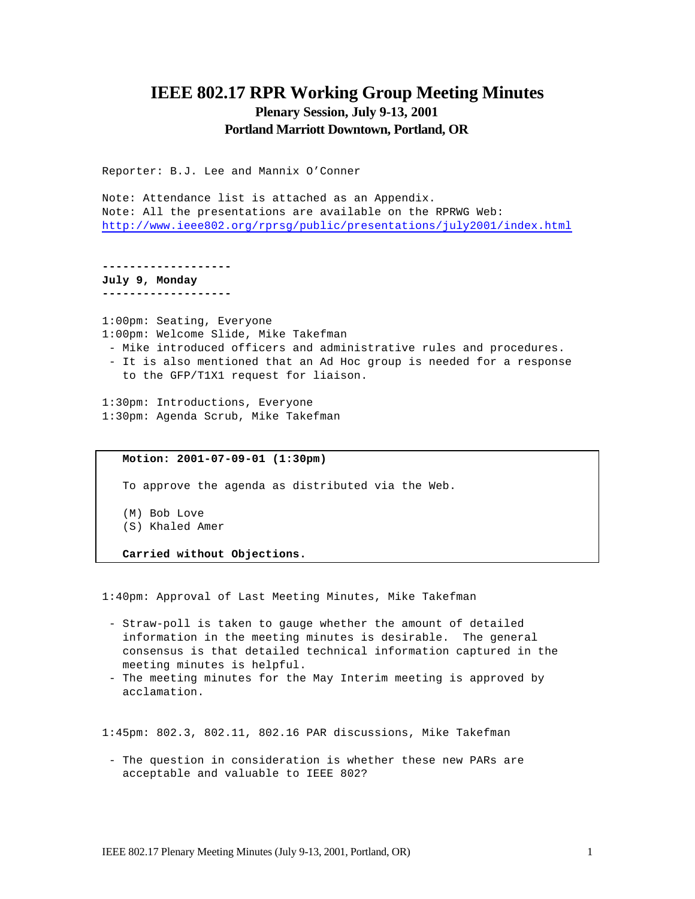# **IEEE 802.17 RPR Working Group Meeting Minutes Plenary Session, July 9-13, 2001 Portland Marriott Downtown, Portland, OR**

Reporter: B.J. Lee and Mannix O'Conner

Note: Attendance list is attached as an Appendix. Note: All the presentations are available on the RPRWG Web: http://www.ieee802.org/rprsg/public/presentations/july2001/index.html

**------------------- July 9, Monday**

**-------------------**

1:00pm: Seating, Everyone 1:00pm: Welcome Slide, Mike Takefman

- Mike introduced officers and administrative rules and procedures.
- It is also mentioned that an Ad Hoc group is needed for a response to the GFP/T1X1 request for liaison.

1:30pm: Introductions, Everyone 1:30pm: Agenda Scrub, Mike Takefman

### **Motion: 2001-07-09-01 (1:30pm)**

To approve the agenda as distributed via the Web.

(M) Bob Love

(S) Khaled Amer

**Carried without Objections.**

1:40pm: Approval of Last Meeting Minutes, Mike Takefman

- Straw-poll is taken to gauge whether the amount of detailed information in the meeting minutes is desirable. The general consensus is that detailed technical information captured in the meeting minutes is helpful.
- The meeting minutes for the May Interim meeting is approved by acclamation.

1:45pm: 802.3, 802.11, 802.16 PAR discussions, Mike Takefman

- The question in consideration is whether these new PARs are acceptable and valuable to IEEE 802?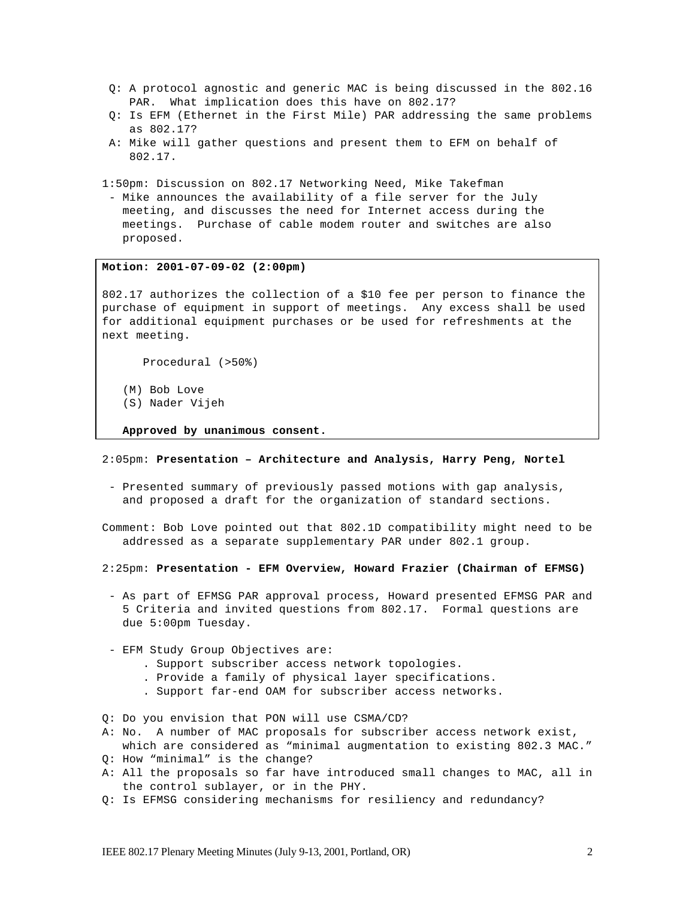- Q: A protocol agnostic and generic MAC is being discussed in the 802.16 PAR. What implication does this have on 802.17?
- Q: Is EFM (Ethernet in the First Mile) PAR addressing the same problems as 802.17?
- A: Mike will gather questions and present them to EFM on behalf of 802.17.

1:50pm: Discussion on 802.17 Networking Need, Mike Takefman

- Mike announces the availability of a file server for the July meeting, and discusses the need for Internet access during the meetings. Purchase of cable modem router and switches are also proposed.

#### **Motion: 2001-07-09-02 (2:00pm)**

802.17 authorizes the collection of a \$10 fee per person to finance the purchase of equipment in support of meetings. Any excess shall be used for additional equipment purchases or be used for refreshments at the next meeting.

Procedural (>50%)

- (M) Bob Love
- (S) Nader Vijeh

**Approved by unanimous consent.**

#### 2:05pm: **Presentation – Architecture and Analysis, Harry Peng, Nortel**

- Presented summary of previously passed motions with gap analysis, and proposed a draft for the organization of standard sections.

Comment: Bob Love pointed out that 802.1D compatibility might need to be addressed as a separate supplementary PAR under 802.1 group.

2:25pm: **Presentation - EFM Overview, Howard Frazier (Chairman of EFMSG)**

- As part of EFMSG PAR approval process, Howard presented EFMSG PAR and 5 Criteria and invited questions from 802.17. Formal questions are due 5:00pm Tuesday.
- EFM Study Group Objectives are:
	- . Support subscriber access network topologies.
	- . Provide a family of physical layer specifications.
	- . Support far-end OAM for subscriber access networks.

Q: Do you envision that PON will use CSMA/CD?

- A: No. A number of MAC proposals for subscriber access network exist, which are considered as "minimal augmentation to existing 802.3 MAC."
- Q: How "minimal" is the change?
- A: All the proposals so far have introduced small changes to MAC, all in the control sublayer, or in the PHY.
- Q: Is EFMSG considering mechanisms for resiliency and redundancy?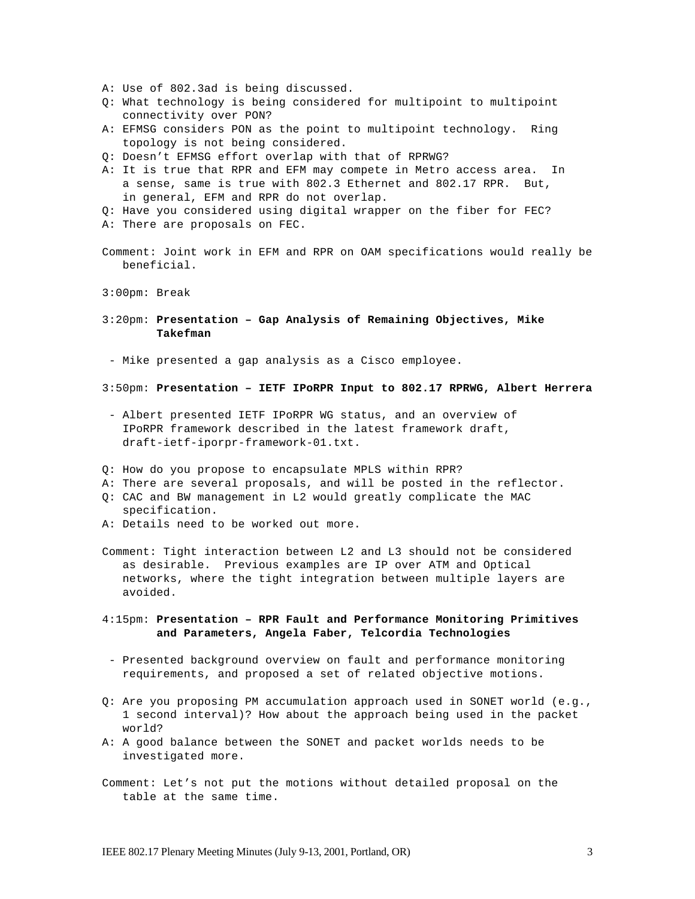- A: Use of 802.3ad is being discussed.
- Q: What technology is being considered for multipoint to multipoint connectivity over PON?
- A: EFMSG considers PON as the point to multipoint technology. Ring topology is not being considered.
- Q: Doesn't EFMSG effort overlap with that of RPRWG?
- A: It is true that RPR and EFM may compete in Metro access area. In a sense, same is true with 802.3 Ethernet and 802.17 RPR. But, in general, EFM and RPR do not overlap.
- Q: Have you considered using digital wrapper on the fiber for FEC?
- A: There are proposals on FEC.
- Comment: Joint work in EFM and RPR on OAM specifications would really be beneficial.

3:00pm: Break

3:20pm: **Presentation – Gap Analysis of Remaining Objectives, Mike Takefman**

- Mike presented a gap analysis as a Cisco employee.

- 3:50pm: **Presentation IETF IPoRPR Input to 802.17 RPRWG, Albert Herrera**
- Albert presented IETF IPoRPR WG status, and an overview of IPoRPR framework described in the latest framework draft, draft-ietf-iporpr-framework-01.txt.
- Q: How do you propose to encapsulate MPLS within RPR?
- A: There are several proposals, and will be posted in the reflector.
- Q: CAC and BW management in L2 would greatly complicate the MAC specification.
- A: Details need to be worked out more.
- Comment: Tight interaction between L2 and L3 should not be considered as desirable. Previous examples are IP over ATM and Optical networks, where the tight integration between multiple layers are avoided.
- 4:15pm: **Presentation RPR Fault and Performance Monitoring Primitives and Parameters, Angela Faber, Telcordia Technologies**
- Presented background overview on fault and performance monitoring requirements, and proposed a set of related objective motions.
- Q: Are you proposing PM accumulation approach used in SONET world (e.g., 1 second interval)? How about the approach being used in the packet world?
- A: A good balance between the SONET and packet worlds needs to be investigated more.
- Comment: Let's not put the motions without detailed proposal on the table at the same time.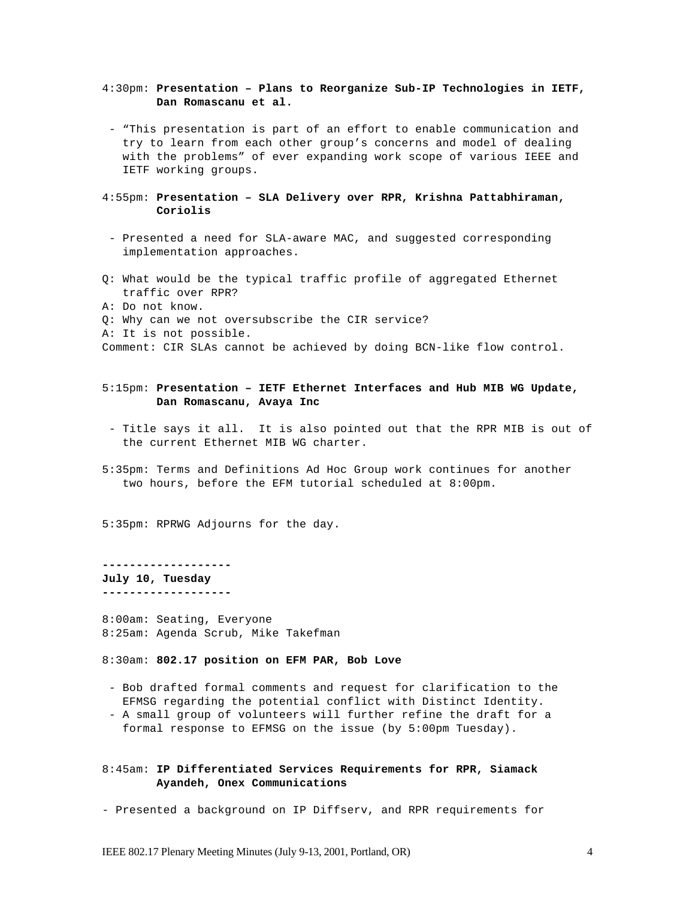### 4:30pm: **Presentation – Plans to Reorganize Sub-IP Technologies in IETF, Dan Romascanu et al.**

- "This presentation is part of an effort to enable communication and try to learn from each other group's concerns and model of dealing with the problems" of ever expanding work scope of various IEEE and IETF working groups.
- 4:55pm: **Presentation SLA Delivery over RPR, Krishna Pattabhiraman, Coriolis**
- Presented a need for SLA-aware MAC, and suggested corresponding implementation approaches.
- Q: What would be the typical traffic profile of aggregated Ethernet traffic over RPR?
- A: Do not know.
- Q: Why can we not oversubscribe the CIR service?
- A: It is not possible.

Comment: CIR SLAs cannot be achieved by doing BCN-like flow control.

## 5:15pm: **Presentation – IETF Ethernet Interfaces and Hub MIB WG Update, Dan Romascanu, Avaya Inc**

- Title says it all. It is also pointed out that the RPR MIB is out of the current Ethernet MIB WG charter.
- 5:35pm: Terms and Definitions Ad Hoc Group work continues for another two hours, before the EFM tutorial scheduled at 8:00pm.

5:35pm: RPRWG Adjourns for the day.

## **------------------- July 10, Tuesday**

**-------------------**

8:00am: Seating, Everyone 8:25am: Agenda Scrub, Mike Takefman

8:30am: **802.17 position on EFM PAR, Bob Love**

- Bob drafted formal comments and request for clarification to the EFMSG regarding the potential conflict with Distinct Identity.
- A small group of volunteers will further refine the draft for a formal response to EFMSG on the issue (by 5:00pm Tuesday).

### 8:45am: **IP Differentiated Services Requirements for RPR, Siamack Ayandeh, Onex Communications**

- Presented a background on IP Diffserv, and RPR requirements for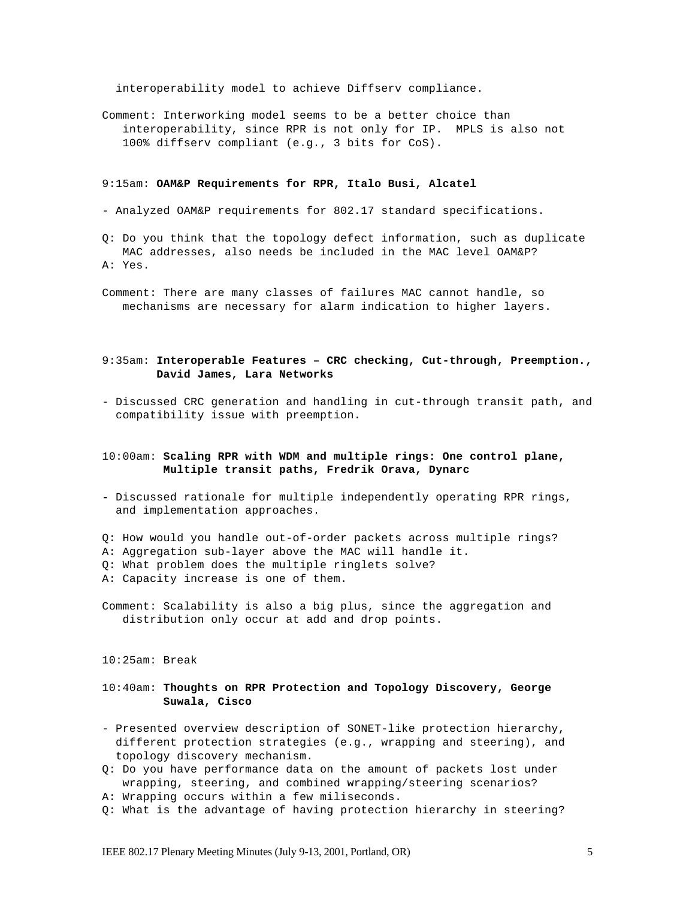interoperability model to achieve Diffserv compliance.

Comment: Interworking model seems to be a better choice than interoperability, since RPR is not only for IP. MPLS is also not 100% diffserv compliant (e.g., 3 bits for CoS).

#### 9:15am: **OAM&P Requirements for RPR, Italo Busi, Alcatel**

- Analyzed OAM&P requirements for 802.17 standard specifications.

Q: Do you think that the topology defect information, such as duplicate MAC addresses, also needs be included in the MAC level OAM&P? A: Yes.

Comment: There are many classes of failures MAC cannot handle, so mechanisms are necessary for alarm indication to higher layers.

## 9:35am: **Interoperable Features – CRC checking, Cut-through, Preemption., David James, Lara Networks**

- Discussed CRC generation and handling in cut-through transit path, and compatibility issue with preemption.

## 10:00am: **Scaling RPR with WDM and multiple rings: One control plane, Multiple transit paths, Fredrik Orava, Dynarc**

- **-** Discussed rationale for multiple independently operating RPR rings, and implementation approaches.
- Q: How would you handle out-of-order packets across multiple rings?
- A: Aggregation sub-layer above the MAC will handle it.
- Q: What problem does the multiple ringlets solve?
- A: Capacity increase is one of them.
- Comment: Scalability is also a big plus, since the aggregation and distribution only occur at add and drop points.

10:25am: Break

## 10:40am: **Thoughts on RPR Protection and Topology Discovery, George Suwala, Cisco**

- Presented overview description of SONET-like protection hierarchy, different protection strategies (e.g., wrapping and steering), and topology discovery mechanism.
- Q: Do you have performance data on the amount of packets lost under wrapping, steering, and combined wrapping/steering scenarios?
- A: Wrapping occurs within a few miliseconds.
- Q: What is the advantage of having protection hierarchy in steering?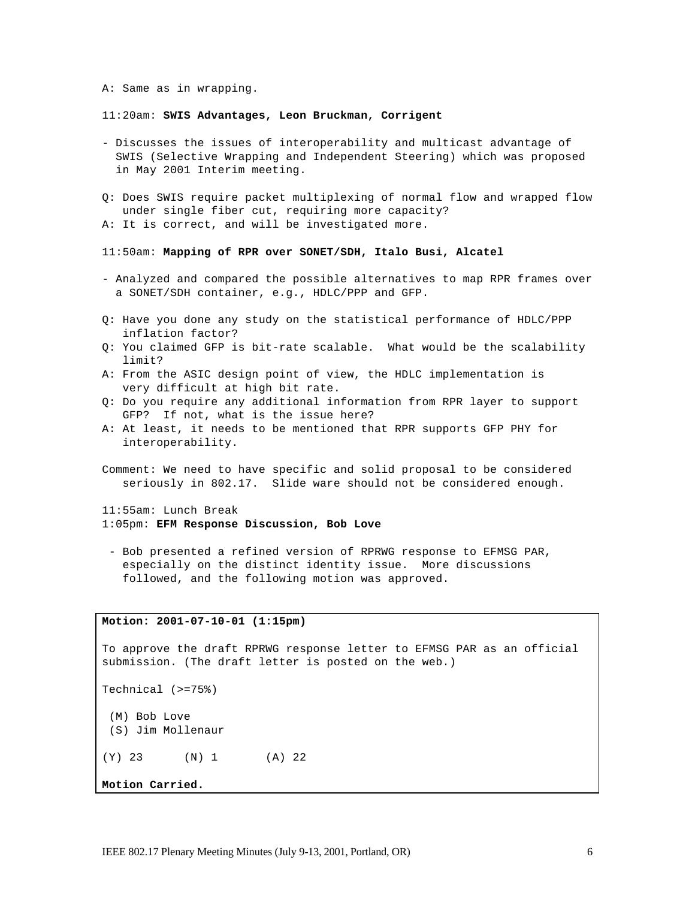A: Same as in wrapping.

#### 11:20am: **SWIS Advantages, Leon Bruckman, Corrigent**

- Discusses the issues of interoperability and multicast advantage of SWIS (Selective Wrapping and Independent Steering) which was proposed in May 2001 Interim meeting.
- Q: Does SWIS require packet multiplexing of normal flow and wrapped flow under single fiber cut, requiring more capacity?
- A: It is correct, and will be investigated more.

### 11:50am: **Mapping of RPR over SONET/SDH, Italo Busi, Alcatel**

- Analyzed and compared the possible alternatives to map RPR frames over a SONET/SDH container, e.g., HDLC/PPP and GFP.
- Q: Have you done any study on the statistical performance of HDLC/PPP inflation factor?
- Q: You claimed GFP is bit-rate scalable. What would be the scalability limit?
- A: From the ASIC design point of view, the HDLC implementation is very difficult at high bit rate.
- Q: Do you require any additional information from RPR layer to support GFP? If not, what is the issue here?
- A: At least, it needs to be mentioned that RPR supports GFP PHY for interoperability.
- Comment: We need to have specific and solid proposal to be considered seriously in 802.17. Slide ware should not be considered enough.

11:55am: Lunch Break 1:05pm: **EFM Response Discussion, Bob Love**

- Bob presented a refined version of RPRWG response to EFMSG PAR, especially on the distinct identity issue. More discussions followed, and the following motion was approved.

## **Motion: 2001-07-10-01 (1:15pm)**

To approve the draft RPRWG response letter to EFMSG PAR as an official submission. (The draft letter is posted on the web.)

Technical (>=75%)

- (M) Bob Love
- (S) Jim Mollenaur
- (Y) 23 (N) 1 (A) 22

**Motion Carried.**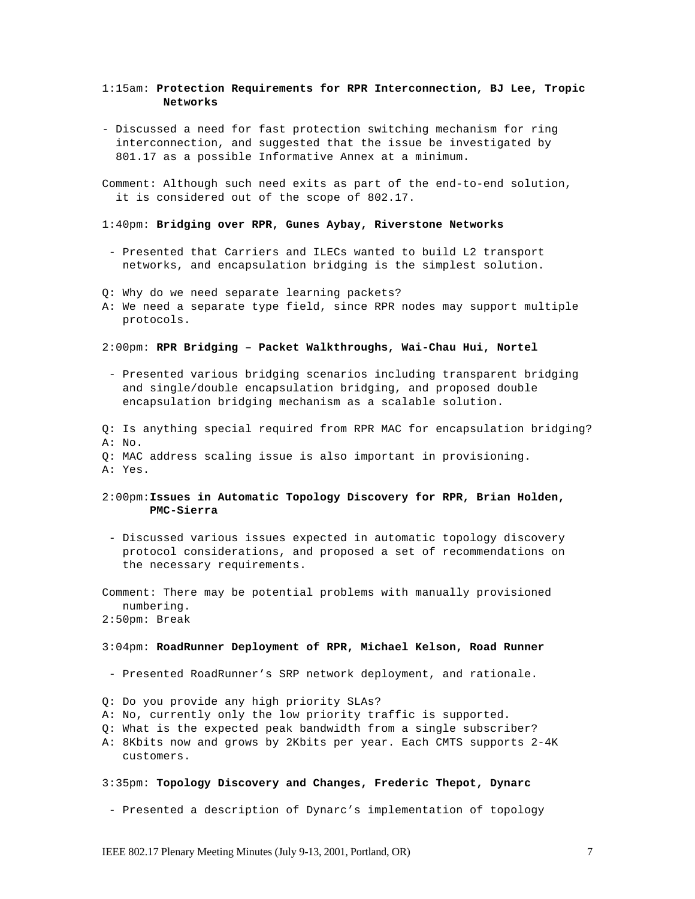### 1:15am: **Protection Requirements for RPR Interconnection, BJ Lee, Tropic Networks**

- Discussed a need for fast protection switching mechanism for ring interconnection, and suggested that the issue be investigated by 801.17 as a possible Informative Annex at a minimum.

Comment: Although such need exits as part of the end-to-end solution, it is considered out of the scope of 802.17.

### 1:40pm: **Bridging over RPR, Gunes Aybay, Riverstone Networks**

- Presented that Carriers and ILECs wanted to build L2 transport networks, and encapsulation bridging is the simplest solution.

Q: Why do we need separate learning packets?

A: We need a separate type field, since RPR nodes may support multiple protocols.

#### 2:00pm: **RPR Bridging – Packet Walkthroughs, Wai-Chau Hui, Nortel**

- Presented various bridging scenarios including transparent bridging and single/double encapsulation bridging, and proposed double encapsulation bridging mechanism as a scalable solution.
- Q: Is anything special required from RPR MAC for encapsulation bridging? A: No.
- Q: MAC address scaling issue is also important in provisioning.

A: Yes.

### 2:00pm:**Issues in Automatic Topology Discovery for RPR, Brian Holden, PMC-Sierra**

- Discussed various issues expected in automatic topology discovery protocol considerations, and proposed a set of recommendations on the necessary requirements.

Comment: There may be potential problems with manually provisioned numbering.

#### 2:50pm: Break

#### 3:04pm: **RoadRunner Deployment of RPR, Michael Kelson, Road Runner**

- Presented RoadRunner's SRP network deployment, and rationale.
- Q: Do you provide any high priority SLAs?
- A: No, currently only the low priority traffic is supported.
- Q: What is the expected peak bandwidth from a single subscriber?
- A: 8Kbits now and grows by 2Kbits per year. Each CMTS supports 2-4K customers.
- 3:35pm: **Topology Discovery and Changes, Frederic Thepot, Dynarc**
- Presented a description of Dynarc's implementation of topology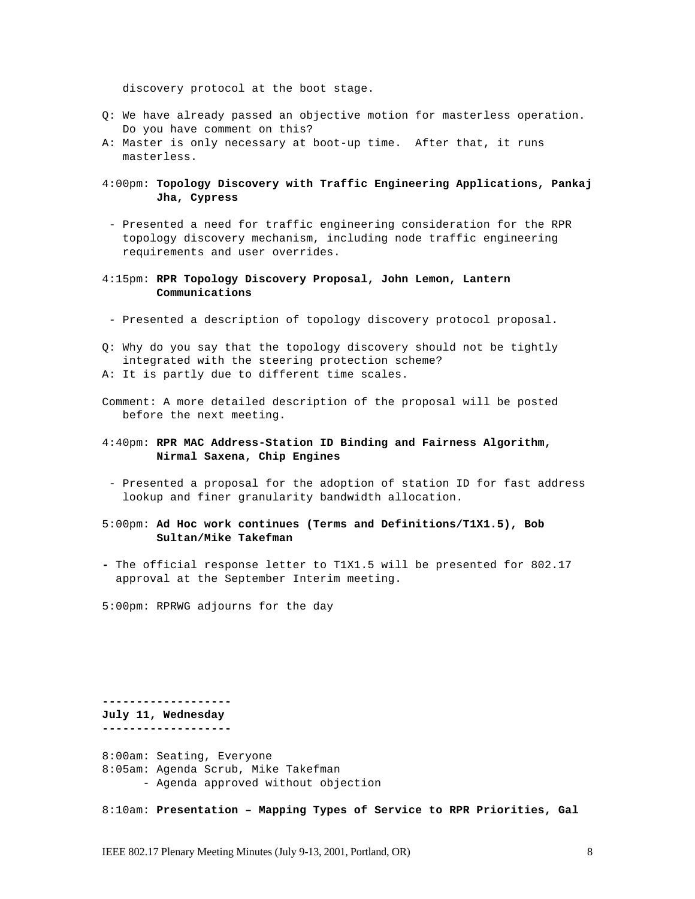discovery protocol at the boot stage.

- Q: We have already passed an objective motion for masterless operation. Do you have comment on this?
- A: Master is only necessary at boot-up time. After that, it runs masterless.

## 4:00pm: **Topology Discovery with Traffic Engineering Applications, Pankaj Jha, Cypress**

- Presented a need for traffic engineering consideration for the RPR topology discovery mechanism, including node traffic engineering requirements and user overrides.
- 4:15pm: **RPR Topology Discovery Proposal, John Lemon, Lantern Communications**
- Presented a description of topology discovery protocol proposal.
- Q: Why do you say that the topology discovery should not be tightly integrated with the steering protection scheme?
- A: It is partly due to different time scales.
- Comment: A more detailed description of the proposal will be posted before the next meeting.
- 4:40pm: **RPR MAC Address-Station ID Binding and Fairness Algorithm, Nirmal Saxena, Chip Engines**
- Presented a proposal for the adoption of station ID for fast address lookup and finer granularity bandwidth allocation.
- 5:00pm: **Ad Hoc work continues (Terms and Definitions/T1X1.5), Bob Sultan/Mike Takefman**
- **-** The official response letter to T1X1.5 will be presented for 802.17 approval at the September Interim meeting.
- 5:00pm: RPRWG adjourns for the day

**------------------- July 11, Wednesday**

**-------------------** 8:00am: Seating, Everyone 8:05am: Agenda Scrub, Mike Takefman - Agenda approved without objection

8:10am: **Presentation – Mapping Types of Service to RPR Priorities, Gal**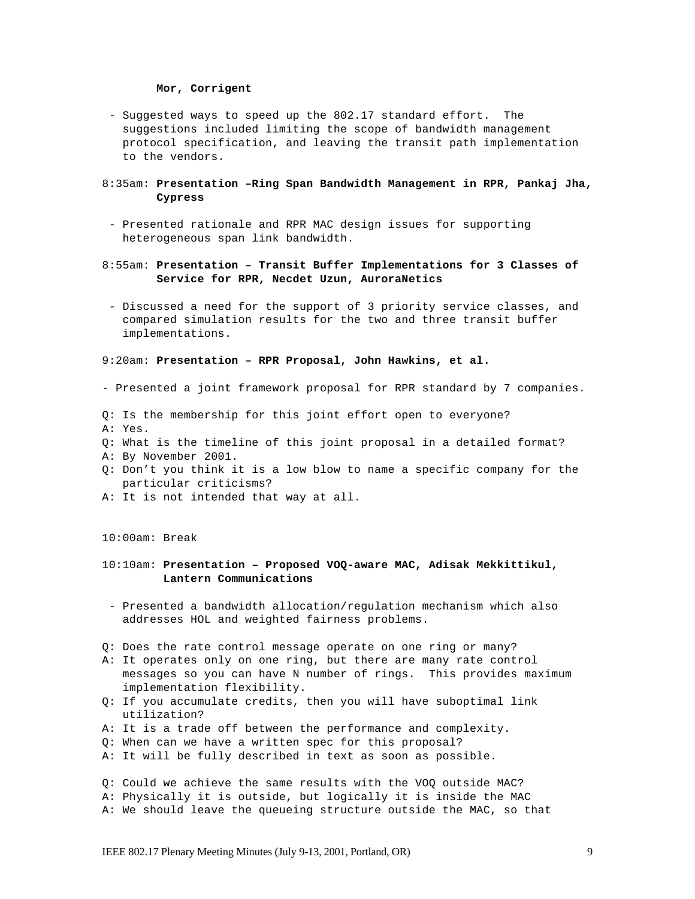#### **Mor, Corrigent**

- Suggested ways to speed up the 802.17 standard effort. The suggestions included limiting the scope of bandwidth management protocol specification, and leaving the transit path implementation to the vendors.

### 8:35am: **Presentation –Ring Span Bandwidth Management in RPR, Pankaj Jha, Cypress**

- Presented rationale and RPR MAC design issues for supporting heterogeneous span link bandwidth.
- 8:55am: **Presentation Transit Buffer Implementations for 3 Classes of Service for RPR, Necdet Uzun, AuroraNetics**
- Discussed a need for the support of 3 priority service classes, and compared simulation results for the two and three transit buffer implementations.

#### 9:20am: **Presentation – RPR Proposal, John Hawkins, et al.**

- Presented a joint framework proposal for RPR standard by 7 companies.
- Q: Is the membership for this joint effort open to everyone?
- A: Yes.
- Q: What is the timeline of this joint proposal in a detailed format?
- A: By November 2001.
- Q: Don't you think it is a low blow to name a specific company for the particular criticisms?
- A: It is not intended that way at all.

10:00am: Break

### 10:10am: **Presentation – Proposed VOQ-aware MAC, Adisak Mekkittikul, Lantern Communications**

- Presented a bandwidth allocation/regulation mechanism which also addresses HOL and weighted fairness problems.
- Q: Does the rate control message operate on one ring or many?
- A: It operates only on one ring, but there are many rate control messages so you can have N number of rings. This provides maximum implementation flexibility.
- Q: If you accumulate credits, then you will have suboptimal link utilization?
- A: It is a trade off between the performance and complexity.
- Q: When can we have a written spec for this proposal?
- A: It will be fully described in text as soon as possible.
- Q: Could we achieve the same results with the VOQ outside MAC?
- A: Physically it is outside, but logically it is inside the MAC
- A: We should leave the queueing structure outside the MAC, so that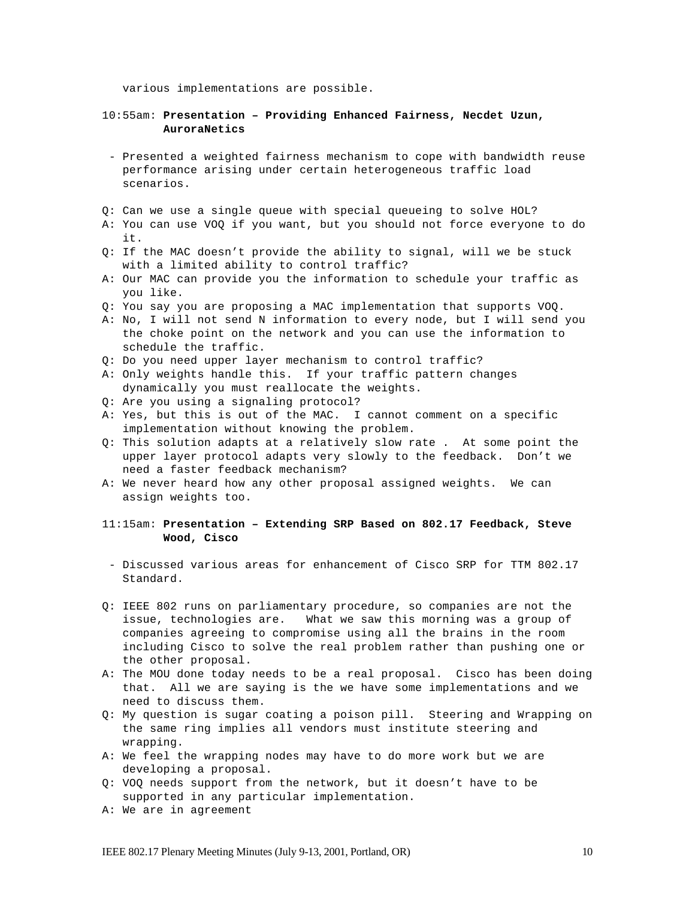various implementations are possible.

### 10:55am: **Presentation – Providing Enhanced Fairness, Necdet Uzun, AuroraNetics**

- Presented a weighted fairness mechanism to cope with bandwidth reuse performance arising under certain heterogeneous traffic load scenarios.
- Q: Can we use a single queue with special queueing to solve HOL?
- A: You can use VOQ if you want, but you should not force everyone to do it.
- Q: If the MAC doesn't provide the ability to signal, will we be stuck with a limited ability to control traffic?
- A: Our MAC can provide you the information to schedule your traffic as you like.
- Q: You say you are proposing a MAC implementation that supports VOQ.
- A: No, I will not send N information to every node, but I will send you the choke point on the network and you can use the information to schedule the traffic.
- Q: Do you need upper layer mechanism to control traffic?
- A: Only weights handle this. If your traffic pattern changes dynamically you must reallocate the weights.
- Q: Are you using a signaling protocol?
- A: Yes, but this is out of the MAC. I cannot comment on a specific implementation without knowing the problem.
- Q: This solution adapts at a relatively slow rate . At some point the upper layer protocol adapts very slowly to the feedback. Don't we need a faster feedback mechanism?
- A: We never heard how any other proposal assigned weights. We can assign weights too.

## 11:15am: **Presentation – Extending SRP Based on 802.17 Feedback, Steve Wood, Cisco**

- Discussed various areas for enhancement of Cisco SRP for TTM 802.17 Standard.
- Q: IEEE 802 runs on parliamentary procedure, so companies are not the issue, technologies are. What we saw this morning was a group of companies agreeing to compromise using all the brains in the room including Cisco to solve the real problem rather than pushing one or the other proposal.
- A: The MOU done today needs to be a real proposal. Cisco has been doing that. All we are saying is the we have some implementations and we need to discuss them.
- Q: My question is sugar coating a poison pill. Steering and Wrapping on the same ring implies all vendors must institute steering and wrapping.
- A: We feel the wrapping nodes may have to do more work but we are developing a proposal.
- Q: VOQ needs support from the network, but it doesn't have to be supported in any particular implementation.
- A: We are in agreement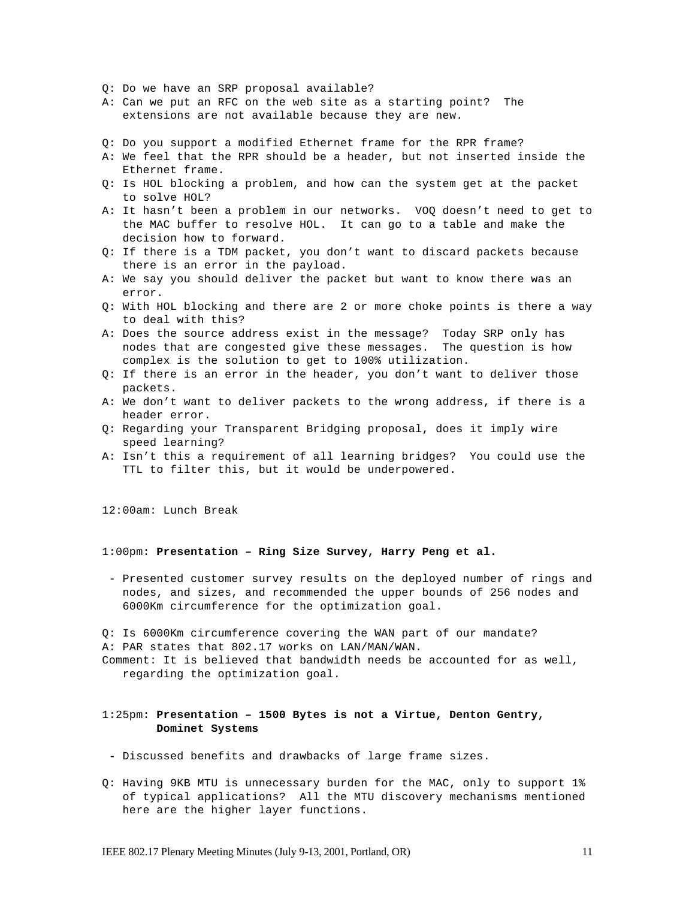- Q: Do we have an SRP proposal available?
- A: Can we put an RFC on the web site as a starting point? The extensions are not available because they are new.
- Q: Do you support a modified Ethernet frame for the RPR frame?
- A: We feel that the RPR should be a header, but not inserted inside the Ethernet frame.
- Q: Is HOL blocking a problem, and how can the system get at the packet to solve HOL?
- A: It hasn't been a problem in our networks. VOQ doesn't need to get to the MAC buffer to resolve HOL. It can go to a table and make the decision how to forward.
- Q: If there is a TDM packet, you don't want to discard packets because there is an error in the payload.
- A: We say you should deliver the packet but want to know there was an error.
- Q: With HOL blocking and there are 2 or more choke points is there a way to deal with this?
- A: Does the source address exist in the message? Today SRP only has nodes that are congested give these messages. The question is how complex is the solution to get to 100% utilization.
- Q: If there is an error in the header, you don't want to deliver those packets.
- A: We don't want to deliver packets to the wrong address, if there is a header error.
- Q: Regarding your Transparent Bridging proposal, does it imply wire speed learning?
- A: Isn't this a requirement of all learning bridges? You could use the TTL to filter this, but it would be underpowered.

12:00am: Lunch Break

#### 1:00pm: **Presentation – Ring Size Survey, Harry Peng et al.**

- Presented customer survey results on the deployed number of rings and nodes, and sizes, and recommended the upper bounds of 256 nodes and 6000Km circumference for the optimization goal.

Q: Is 6000Km circumference covering the WAN part of our mandate? A: PAR states that 802.17 works on LAN/MAN/WAN.

Comment: It is believed that bandwidth needs be accounted for as well, regarding the optimization goal.

## 1:25pm: **Presentation – 1500 Bytes is not a Virtue, Denton Gentry, Dominet Systems**

- **-** Discussed benefits and drawbacks of large frame sizes.
- Q: Having 9KB MTU is unnecessary burden for the MAC, only to support 1% of typical applications? All the MTU discovery mechanisms mentioned here are the higher layer functions.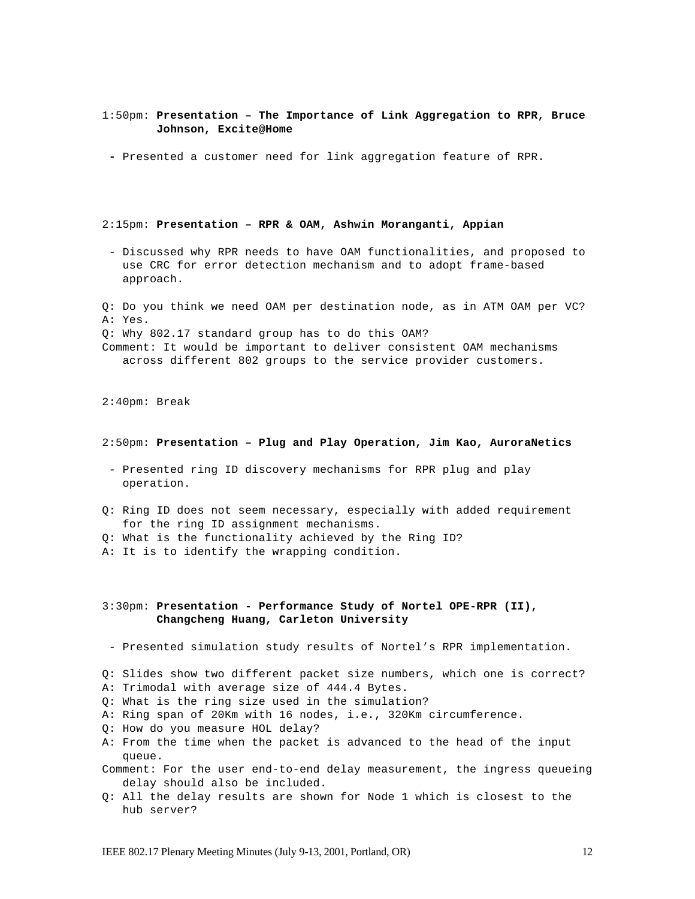### 1:50pm: **Presentation – The Importance of Link Aggregation to RPR, Bruce Johnson, Excite@Home**

**-** Presented a customer need for link aggregation feature of RPR.

#### 2:15pm: **Presentation – RPR & OAM, Ashwin Moranganti, Appian**

- Discussed why RPR needs to have OAM functionalities, and proposed to use CRC for error detection mechanism and to adopt frame-based approach.

Q: Do you think we need OAM per destination node, as in ATM OAM per VC? A: Yes. Q: Why 802.17 standard group has to do this OAM? Comment: It would be important to deliver consistent OAM mechanisms across different 802 groups to the service provider customers.

2:40pm: Break

#### 2:50pm: **Presentation – Plug and Play Operation, Jim Kao, AuroraNetics**

- Presented ring ID discovery mechanisms for RPR plug and play operation.
- Q: Ring ID does not seem necessary, especially with added requirement for the ring ID assignment mechanisms.
- Q: What is the functionality achieved by the Ring ID?
- A: It is to identify the wrapping condition.

## 3:30pm: **Presentation - Performance Study of Nortel OPE-RPR (II), Changcheng Huang, Carleton University**

- Presented simulation study results of Nortel's RPR implementation.
- Q: Slides show two different packet size numbers, which one is correct?
- A: Trimodal with average size of 444.4 Bytes.
- Q: What is the ring size used in the simulation?
- A: Ring span of 20Km with 16 nodes, i.e., 320Km circumference.
- Q: How do you measure HOL delay?
- A: From the time when the packet is advanced to the head of the input queue.
- Comment: For the user end-to-end delay measurement, the ingress queueing delay should also be included.
- Q: All the delay results are shown for Node 1 which is closest to the hub server?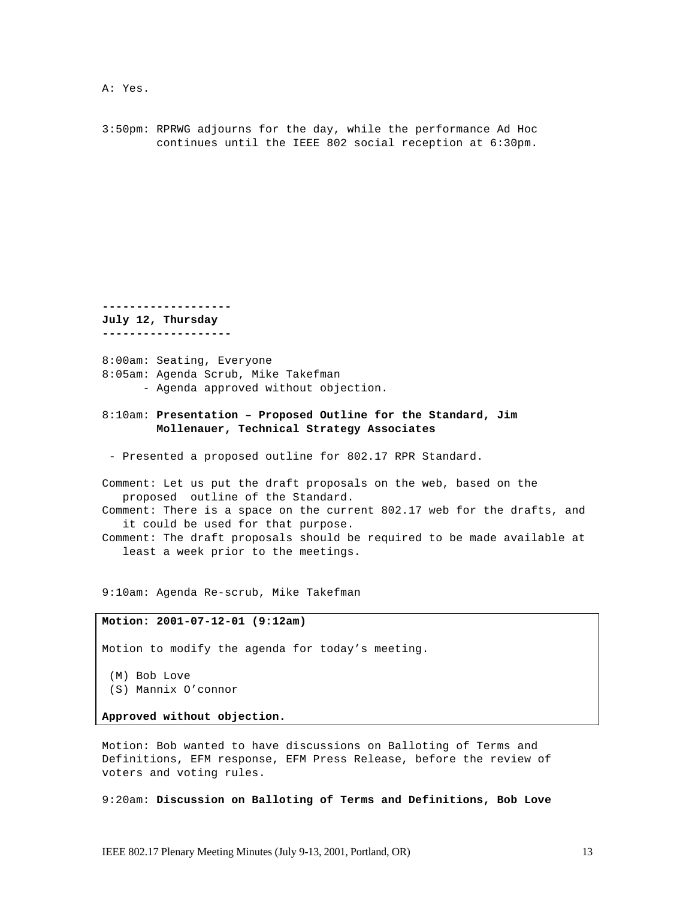A: Yes.

3:50pm: RPRWG adjourns for the day, while the performance Ad Hoc continues until the IEEE 802 social reception at 6:30pm.

**------------------- July 12, Thursday**

**-------------------**

8:00am: Seating, Everyone 8:05am: Agenda Scrub, Mike Takefman - Agenda approved without objection.

8:10am: **Presentation – Proposed Outline for the Standard, Jim Mollenauer, Technical Strategy Associates**

- Presented a proposed outline for 802.17 RPR Standard.

Comment: Let us put the draft proposals on the web, based on the proposed outline of the Standard.

Comment: There is a space on the current 802.17 web for the drafts, and it could be used for that purpose.

Comment: The draft proposals should be required to be made available at least a week prior to the meetings.

9:10am: Agenda Re-scrub, Mike Takefman

#### **Motion: 2001-07-12-01 (9:12am)**

Motion to modify the agenda for today's meeting.

 (M) Bob Love (S) Mannix O'connor

**Approved without objection.**

Motion: Bob wanted to have discussions on Balloting of Terms and Definitions, EFM response, EFM Press Release, before the review of voters and voting rules.

9:20am: **Discussion on Balloting of Terms and Definitions, Bob Love**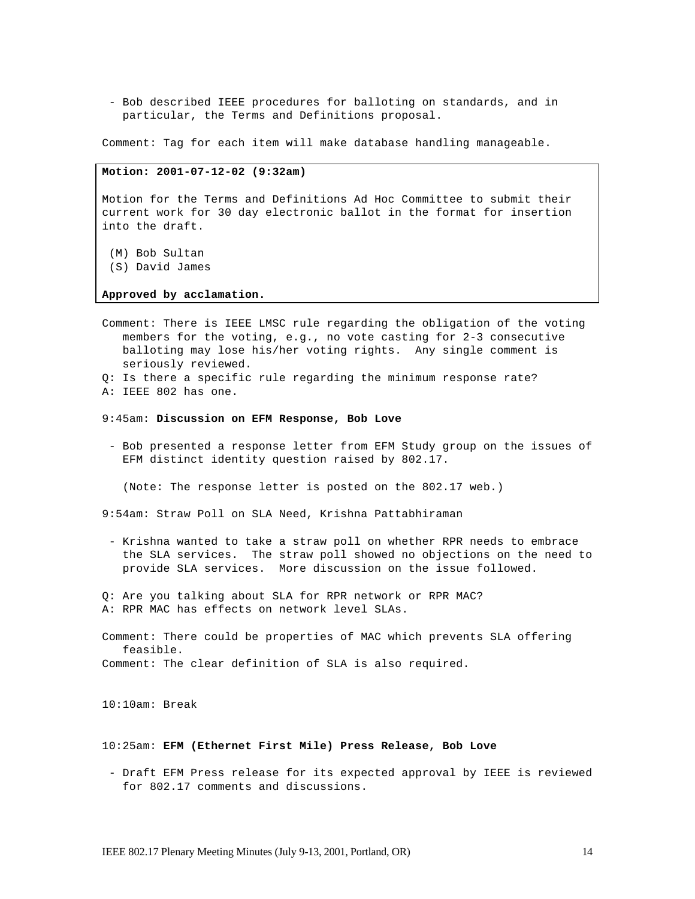- Bob described IEEE procedures for balloting on standards, and in particular, the Terms and Definitions proposal.

Comment: Tag for each item will make database handling manageable.

#### **Motion: 2001-07-12-02 (9:32am)**

Motion for the Terms and Definitions Ad Hoc Committee to submit their current work for 30 day electronic ballot in the format for insertion into the draft.

- (M) Bob Sultan (S) David James
- 

### **Approved by acclamation.**

- Comment: There is IEEE LMSC rule regarding the obligation of the voting members for the voting, e.g., no vote casting for 2-3 consecutive balloting may lose his/her voting rights. Any single comment is seriously reviewed.
- Q: Is there a specific rule regarding the minimum response rate?
- A: IEEE 802 has one.
- 9:45am: **Discussion on EFM Response, Bob Love**
- Bob presented a response letter from EFM Study group on the issues of EFM distinct identity question raised by 802.17.

(Note: The response letter is posted on the 802.17 web.)

9:54am: Straw Poll on SLA Need, Krishna Pattabhiraman

- Krishna wanted to take a straw poll on whether RPR needs to embrace the SLA services. The straw poll showed no objections on the need to provide SLA services. More discussion on the issue followed.
- Q: Are you talking about SLA for RPR network or RPR MAC? A: RPR MAC has effects on network level SLAs.

Comment: There could be properties of MAC which prevents SLA offering feasible. Comment: The clear definition of SLA is also required.

10:10am: Break

#### 10:25am: **EFM (Ethernet First Mile) Press Release, Bob Love**

- Draft EFM Press release for its expected approval by IEEE is reviewed for 802.17 comments and discussions.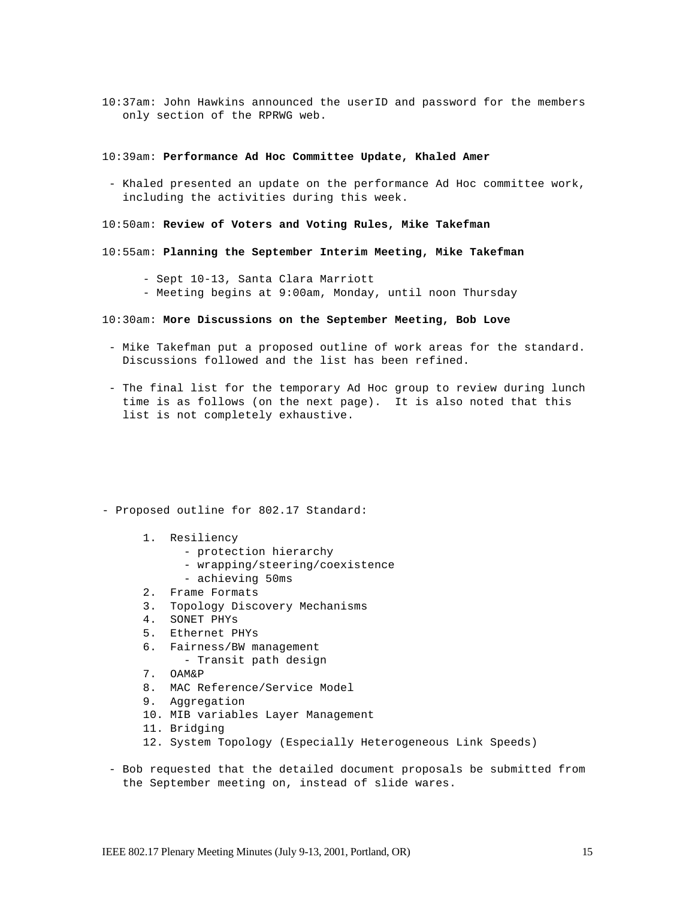10:37am: John Hawkins announced the userID and password for the members only section of the RPRWG web.

### 10:39am: **Performance Ad Hoc Committee Update, Khaled Amer**

- Khaled presented an update on the performance Ad Hoc committee work, including the activities during this week.

### 10:50am: **Review of Voters and Voting Rules, Mike Takefman**

- 10:55am: **Planning the September Interim Meeting, Mike Takefman**
	- Sept 10-13, Santa Clara Marriott
	- Meeting begins at 9:00am, Monday, until noon Thursday
- 10:30am: **More Discussions on the September Meeting, Bob Love**
- Mike Takefman put a proposed outline of work areas for the standard. Discussions followed and the list has been refined.
- The final list for the temporary Ad Hoc group to review during lunch time is as follows (on the next page). It is also noted that this list is not completely exhaustive.
- Proposed outline for 802.17 Standard:
	- 1. Resiliency
		- protection hierarchy
		- wrapping/steering/coexistence
		- achieving 50ms
	- 2. Frame Formats
	- 3. Topology Discovery Mechanisms
	- 4. SONET PHYs
	- 5. Ethernet PHYs
	- 6. Fairness/BW management
		- Transit path design
	- 7. OAM&P
	- 8. MAC Reference/Service Model
	- 9. Aggregation
	- 10. MIB variables Layer Management
	- 11. Bridging
	- 12. System Topology (Especially Heterogeneous Link Speeds)
- Bob requested that the detailed document proposals be submitted from the September meeting on, instead of slide wares.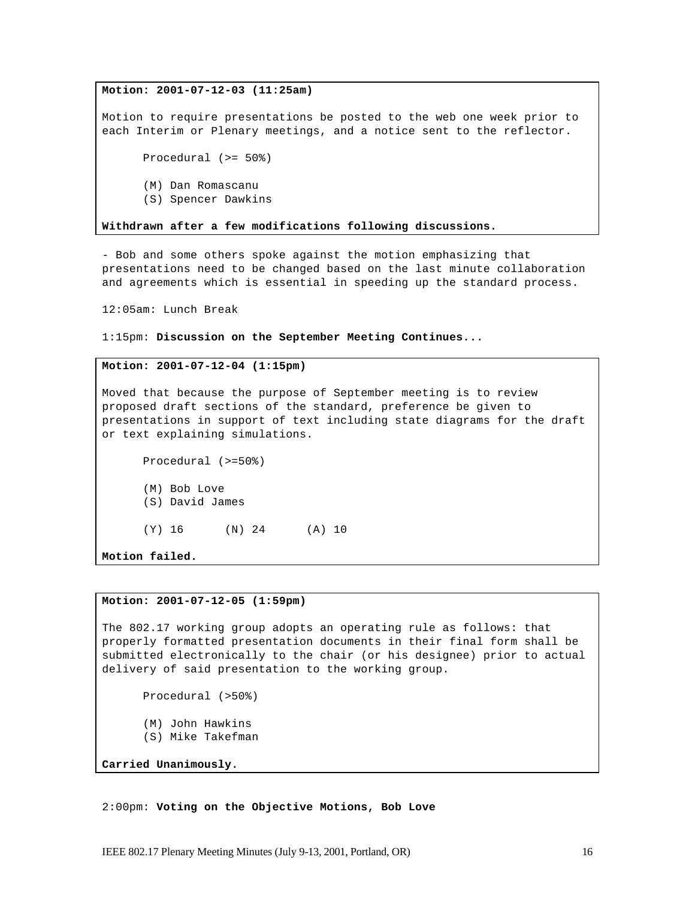**Motion: 2001-07-12-03 (11:25am)**

Motion to require presentations be posted to the web one week prior to each Interim or Plenary meetings, and a notice sent to the reflector.

Procedural (>= 50%)

- (M) Dan Romascanu
- (S) Spencer Dawkins

**Withdrawn after a few modifications following discussions.**

- Bob and some others spoke against the motion emphasizing that presentations need to be changed based on the last minute collaboration and agreements which is essential in speeding up the standard process.

12:05am: Lunch Break

1:15pm: **Discussion on the September Meeting Continues...**

### **Motion: 2001-07-12-04 (1:15pm)**

Moved that because the purpose of September meeting is to review proposed draft sections of the standard, preference be given to presentations in support of text including state diagrams for the draft or text explaining simulations.

Procedural (>=50%) (M) Bob Love (S) David James (Y) 16 (N) 24 (A) 10

**Motion failed.**

#### **Motion: 2001-07-12-05 (1:59pm)**

The 802.17 working group adopts an operating rule as follows: that properly formatted presentation documents in their final form shall be submitted electronically to the chair (or his designee) prior to actual delivery of said presentation to the working group.

Procedural (>50%)

- (M) John Hawkins
- (S) Mike Takefman

**Carried Unanimously.**

2:00pm: **Voting on the Objective Motions, Bob Love**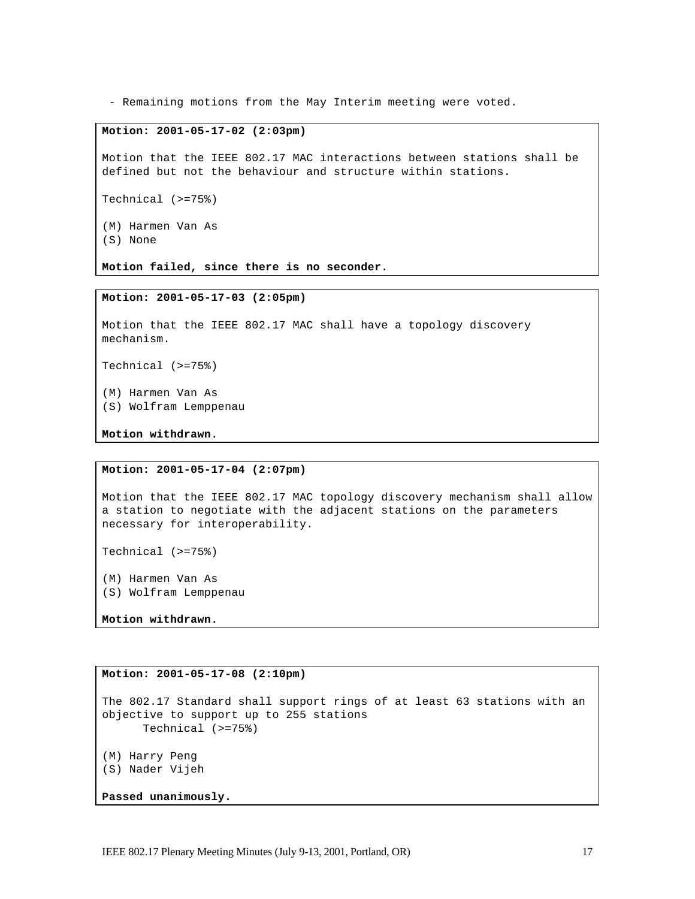- Remaining motions from the May Interim meeting were voted.

## **Motion: 2001-05-17-02 (2:03pm)**

Motion that the IEEE 802.17 MAC interactions between stations shall be defined but not the behaviour and structure within stations.

Technical (>=75%)

(M) Harmen Van As (S) None

**Motion failed, since there is no seconder.**

#### **Motion: 2001-05-17-03 (2:05pm)**

Motion that the IEEE 802.17 MAC shall have a topology discovery mechanism.

Technical (>=75%)

(M) Harmen Van As

(S) Wolfram Lemppenau

**Motion withdrawn.**

### **Motion: 2001-05-17-04 (2:07pm)**

Motion that the IEEE 802.17 MAC topology discovery mechanism shall allow a station to negotiate with the adjacent stations on the parameters necessary for interoperability.

Technical (>=75%)

(M) Harmen Van As (S) Wolfram Lemppenau

**Motion withdrawn.**

## **Motion: 2001-05-17-08 (2:10pm)**

```
The 802.17 Standard shall support rings of at least 63 stations with an 
objective to support up to 255 stations
     Technical (>=75%)
(M) Harry Peng
(S) Nader Vijeh
Passed unanimously.
```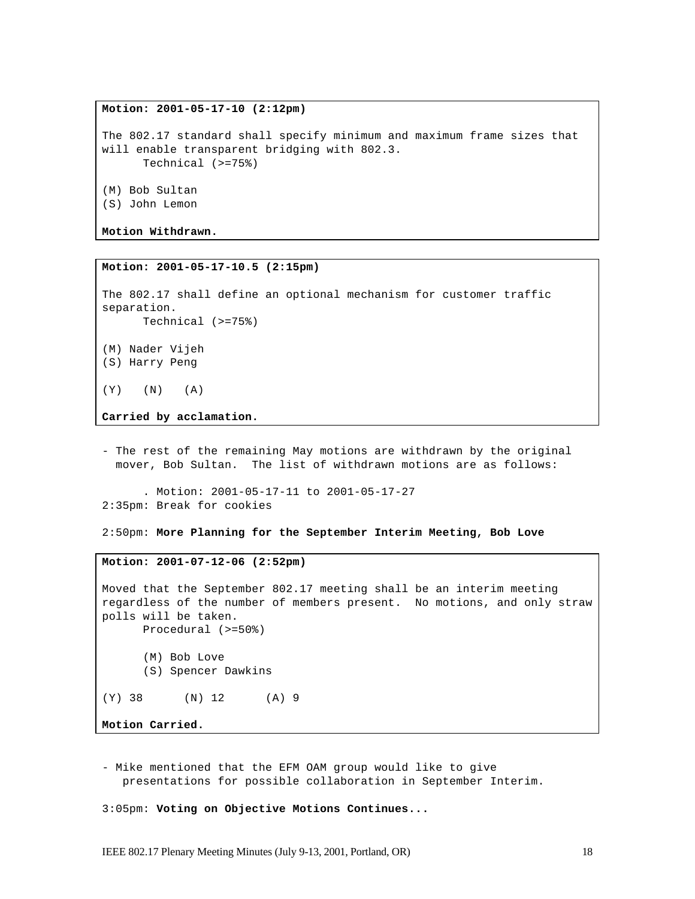**Motion: 2001-05-17-10 (2:12pm)**

The 802.17 standard shall specify minimum and maximum frame sizes that will enable transparent bridging with 802.3. Technical (>=75%) (M) Bob Sultan (S) John Lemon

**Motion Withdrawn.**

**Motion: 2001-05-17-10.5 (2:15pm)**

The 802.17 shall define an optional mechanism for customer traffic separation. Technical (>=75%) (M) Nader Vijeh

(S) Harry Peng

 $(Y)$   $(N)$   $(A)$ 

**Carried by acclamation.**

- The rest of the remaining May motions are withdrawn by the original mover, Bob Sultan. The list of withdrawn motions are as follows:

. Motion: 2001-05-17-11 to 2001-05-17-27 2:35pm: Break for cookies

2:50pm: **More Planning for the September Interim Meeting, Bob Love**

## **Motion: 2001-07-12-06 (2:52pm)**

Moved that the September 802.17 meeting shall be an interim meeting regardless of the number of members present. No motions, and only straw polls will be taken. Procedural (>=50%) (M) Bob Love (S) Spencer Dawkins (Y) 38 (N) 12 (A) 9

**Motion Carried.**

- Mike mentioned that the EFM OAM group would like to give presentations for possible collaboration in September Interim.

3:05pm: **Voting on Objective Motions Continues...**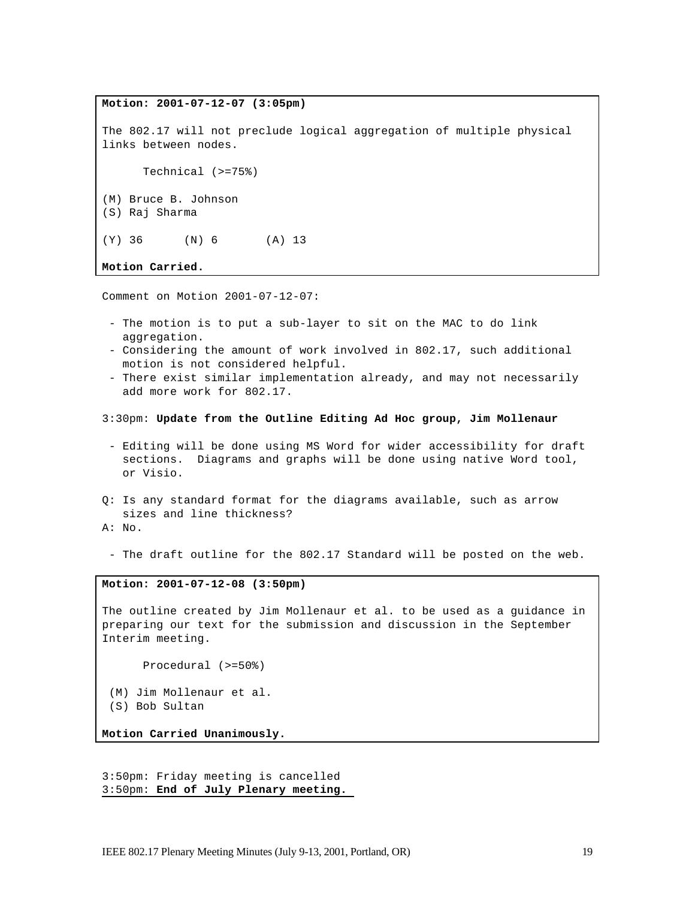**Motion: 2001-07-12-07 (3:05pm)** The 802.17 will not preclude logical aggregation of multiple physical links between nodes. Technical (>=75%) (M) Bruce B. Johnson (S) Raj Sharma (Y) 36 (N) 6 (A) 13

**Motion Carried.**

Comment on Motion 2001-07-12-07:

- The motion is to put a sub-layer to sit on the MAC to do link aggregation.
- Considering the amount of work involved in 802.17, such additional motion is not considered helpful.
- There exist similar implementation already, and may not necessarily add more work for 802.17.
- 3:30pm: **Update from the Outline Editing Ad Hoc group, Jim Mollenaur**
- Editing will be done using MS Word for wider accessibility for draft sections. Diagrams and graphs will be done using native Word tool, or Visio.
- Q: Is any standard format for the diagrams available, such as arrow sizes and line thickness? A: No.
- 
- The draft outline for the 802.17 Standard will be posted on the web.

#### **Motion: 2001-07-12-08 (3:50pm)**

The outline created by Jim Mollenaur et al. to be used as a guidance in preparing our text for the submission and discussion in the September Interim meeting.

Procedural (>=50%)

 (M) Jim Mollenaur et al. (S) Bob Sultan

**Motion Carried Unanimously.**

3:50pm: Friday meeting is cancelled 3:50pm: **End of July Plenary meeting.**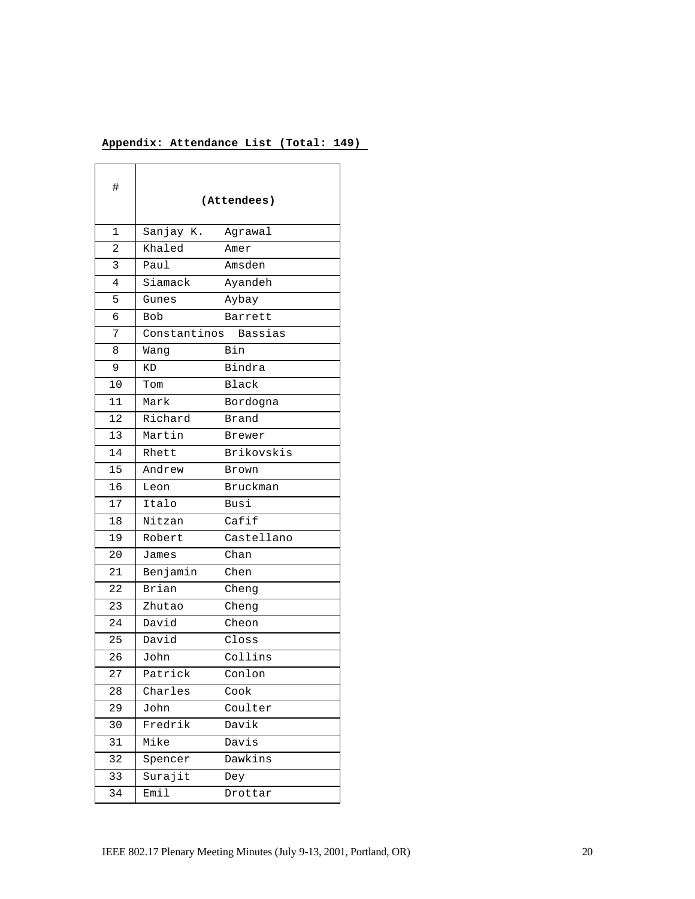# **Appendix: Attendance List (Total: 149)**

| #  | (Attendees)             |                 |
|----|-------------------------|-----------------|
| 1  | Sanjay K.               | Agrawal         |
| 2  | Khaled                  | Amer            |
| 3  | Paul                    | Amsden          |
| 4  | Siamack                 | Ayandeh         |
| 5  | Gunes                   | Aybay           |
| 6  | <b>Bob</b>              | Barrett         |
| 7  | Constantinos<br>Bassias |                 |
| 8  | Wang                    | Bin             |
| 9  | ΚD                      | Bindra          |
| 10 | Tom                     | <b>Black</b>    |
| 11 | Mark                    | Bordogna        |
| 12 | Richard                 | Brand           |
| 13 | Martin                  | Brewer          |
| 14 | Rhett                   | Brikovskis      |
| 15 | Andrew                  | Brown           |
| 16 | Leon                    | <b>Bruckman</b> |
| 17 | Italo                   | Busi            |
| 18 | Nitzan                  | Cafif           |
| 19 | Robert                  | Castellano      |
| 20 | James                   | Chan            |
| 21 | Benjamin                | Chen            |
| 22 | Brian                   | Cheng           |
| 23 | Zhutao                  | Cheng           |
| 24 | David                   | Cheon           |
| 25 | David                   | Closs           |
| 26 | John                    | Collins         |
| 27 | Patrick                 | Conlon          |
| 28 | Charles                 | Cook            |
| 29 | John                    | Coulter         |
| 30 | Fredrik                 | Davik           |
| 31 | Mike                    | Davis           |
| 32 | Spencer                 | Dawkins         |
| 33 | Surajit                 | Dey             |
| 34 | Emil                    | Drottar         |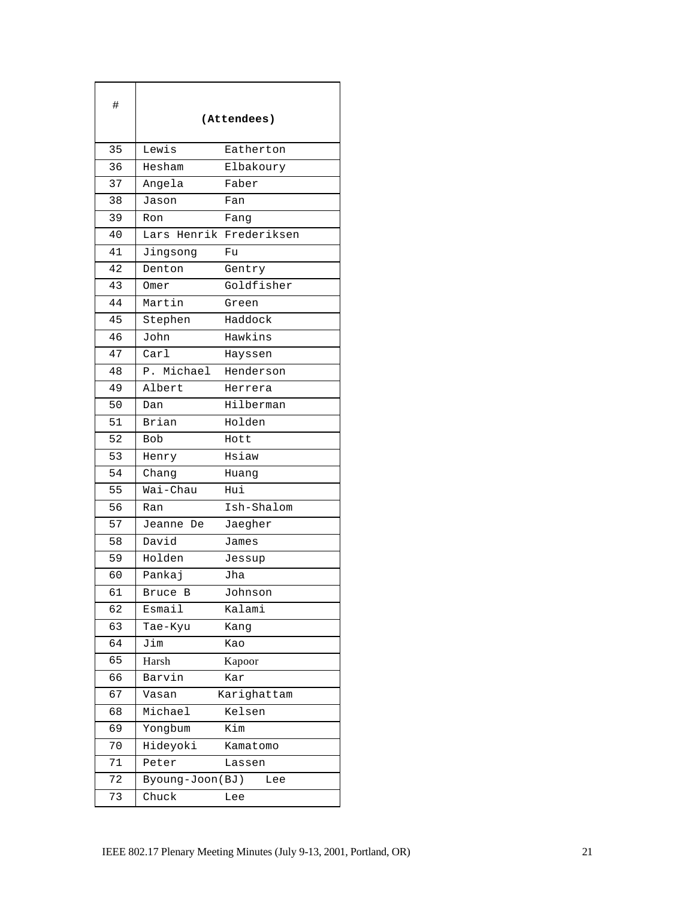| #  |                  | (Attendees) |
|----|------------------|-------------|
| 35 | Lewis            | Eatherton   |
| 36 | Hesham           | Elbakoury   |
| 37 | Angela           | Faber       |
| 38 | Jason            | Fan         |
| 39 | Ron              | Fang        |
| 40 | Henrik<br>Lars   | Frederiksen |
| 41 | Jingsong         | Fu          |
| 42 | Denton           | Gentry      |
| 43 | Omer             | Goldfisher  |
| 44 | Martin           | Green       |
| 45 | Stephen          | Haddock     |
| 46 | John             | Hawkins     |
| 47 | Carl             | Hayssen     |
| 48 | Michael<br>Ρ.    | Henderson   |
| 49 | Albert           | Herrera     |
| 50 | Dan              | Hilberman   |
| 51 | Brian            | Holden      |
| 52 | <b>Bob</b>       | Hott        |
| 53 | Henry            | Hsiaw       |
| 54 | Chang            | Huang       |
| 55 | Wai-Chau         | Hui         |
| 56 | Ran              | Ish-Shalom  |
| 57 | Jeanne De        | Jaegher     |
| 58 | David            | James       |
| 59 | Holden           | Jessup      |
| 60 | Pankaj           | Jha         |
| 61 | Bruce B          | Johnson     |
| 62 | Esmail           | Kalami      |
| 63 | Tae-Kyu          | Kang        |
| 64 | Jim              | Kao         |
| 65 | Harsh            | Kapoor      |
| 66 | Barvin           | Kar         |
| 67 | Vasan            | Karighattam |
| 68 | Michael          | Kelsen      |
| 69 | Yongbum          | Kim         |
| 70 | Hideyoki         | Kamatomo    |
| 71 | Peter            | Lassen      |
| 72 | Byoung-Joon (BJ) | Lee         |
| 73 | Chuck            | Lee         |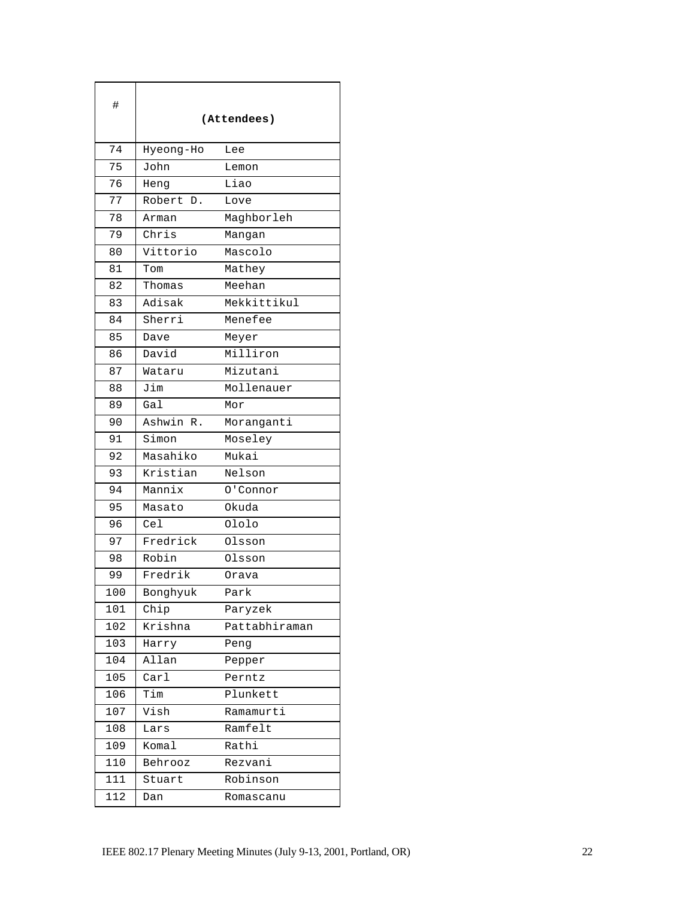| #   | (Attendees)   |               |
|-----|---------------|---------------|
| 74  | Hyeong-Ho     | Lee           |
| 75  | John          | Lemon         |
| 76  | Heng          | Liao          |
| 77  | Robert D.     | Love          |
| 78  | Arman         | Maghborleh    |
| 79  | Chris         | Mangan        |
| 80  | Vittorio      | Mascolo       |
| 81  | Tom           | Mathey        |
| 82  | Thomas        | Meehan        |
| 83  | Adisak        | Mekkittikul   |
| 84  | Sherri        | Menefee       |
| 85  | Dave          | Meyer         |
| 86  | David         | Milliron      |
| 87  | Wataru        | Mizutani      |
| 88  | Jim           | Mollenauer    |
| 89  | Gal           | Mor           |
| 90  | Ashwin R.     | Moranganti    |
| 91  | Simon         | Moseley       |
| 92  | Masahiko      | Mukai         |
| 93  | Kristian      | Nelson        |
| 94  | Mannix        | 0'Connor      |
| 95  | Masato        | Okuda         |
| 96  | Cel           | Ololo         |
| 97  | Fredrick      | Olsson        |
| 98  | Robin         | Olsson        |
| 99  | Fredrik       | Orava         |
| 100 | Bonghyuk      | Park          |
| 101 | Chip          | Paryzek       |
| 102 | Krishna       | Pattabhiraman |
| 103 | Harry         | Peng          |
| 104 | Allan         | Pepper        |
| 105 | $\text{Carl}$ | Perntz        |
| 106 | Tim           | Plunkett      |
| 107 | Vish          | Ramamurti     |
| 108 | Lars          | Ramfelt       |
| 109 | Komal         | Rathi         |
| 110 | Behrooz       | Rezvani       |
| 111 | Stuart        | Robinson      |
| 112 | Dan           | Romascanu     |